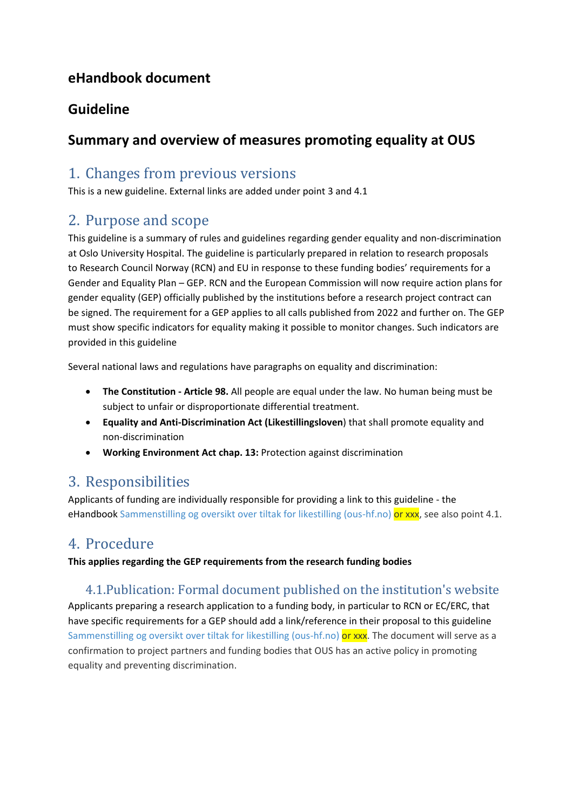## **eHandbook document**

## **Guideline**

## **Summary and overview of measures promoting equality at OUS**

## 1. Changes from previous versions

This is a new guideline. External links are added under point 3 and 4.1

# 2. Purpose and scope

This guideline is a summary of rules and guidelines regarding gender equality and non-discrimination at Oslo University Hospital. The guideline is particularly prepared in relation to research proposals to Research Council Norway (RCN) and EU in response to these funding bodies' requirements for a Gender and Equality Plan – GEP. RCN and the European Commission will now require action plans for gender equality (GEP) officially published by the institutions before a research project contract can be signed. The requirement for a GEP applies to all calls published from 2022 and further on. The GEP must show specific indicators for equality making it possible to monitor changes. Such indicators are provided in this guideline

Several national laws and regulations have paragraphs on equality and discrimination:

- **The Constitution - Article 98.** All people are equal under the law. No human being must be subject to unfair or disproportionate differential treatment.
- **Equality and Anti-Discrimination Act (Likestillingsloven**) that shall promote equality and non-discrimination
- **Working Environment Act chap. 13:** Protection against discrimination

# 3. Responsibilities

Applicants of funding are individually responsible for providing a link to this guideline - the eHandbook [Sammenstilling og oversikt over tiltak for likestilling \(ous-hf.no\)](http://ehandboken.ous-hf.no/document/143294) or xxx, see also point 4.1.

# 4. Procedure

**This applies regarding the GEP requirements from the research funding bodies** 

### 4.1.Publication: Formal document published on the institution's website

Applicants preparing a research application to a funding body, in particular to RCN or EC/ERC, that have specific requirements for a GEP should add a link/reference in their proposal to this guideline [Sammenstilling og oversikt over tiltak for likestilling \(ous-hf.no\)](http://ehandboken.ous-hf.no/document/143294) or xxx. The document will serve as a confirmation to project partners and funding bodies that OUS has an active policy in promoting equality and preventing discrimination.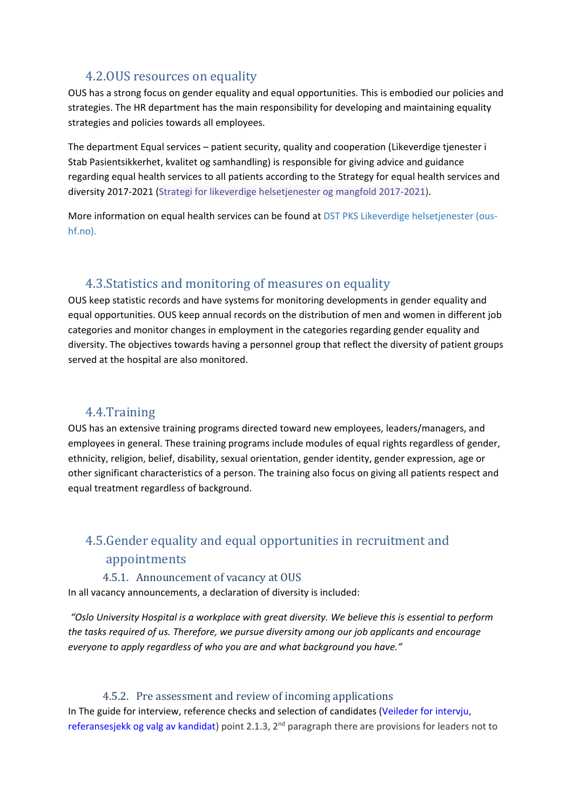### 4.2.OUS resources on equality

OUS has a strong focus on gender equality and equal opportunities. This is embodied our policies and strategies. The HR department has the main responsibility for developing and maintaining equality strategies and policies towards all employees.

The department Equal services – patient security, quality and cooperation (Likeverdige tjenester i Stab Pasientsikkerhet, kvalitet og samhandling) is responsible for giving advice and guidance regarding equal health services to all patients according to the Strategy for equal health services and diversity 2017-2021 [\(Strategi for likeverdige helsetjenester og mangfold 2017-2021\)](http://ehandbok.ous-hf.no/document/128498).

More information on equal health services can be found at [DST PKS Likeverdige helsetjenester \(ous](http://intranett.ous-hf.no/ikbViewer/page/ous/mittskrivebord/organisasjon/klinikk?p_section_dim_id=202570&level=4)[hf.no\).](http://intranett.ous-hf.no/ikbViewer/page/ous/mittskrivebord/organisasjon/klinikk?p_section_dim_id=202570&level=4)

#### 4.3.Statistics and monitoring of measures on equality

OUS keep statistic records and have systems for monitoring developments in gender equality and equal opportunities. OUS keep annual records on the distribution of men and women in different job categories and monitor changes in employment in the categories regarding gender equality and diversity. The objectives towards having a personnel group that reflect the diversity of patient groups served at the hospital are also monitored.

### 4.4.Training

OUS has an extensive training programs directed toward new employees, leaders/managers, and employees in general. These training programs include modules of equal rights regardless of gender, ethnicity, religion, belief, disability, sexual orientation, gender identity, gender expression, age or other significant characteristics of a person. The training also focus on giving all patients respect and equal treatment regardless of background.

### 4.5.Gender equality and equal opportunities in recruitment and appointments

#### 4.5.1. Announcement of vacancy at OUS

In all vacancy announcements, a declaration of diversity is included:

*"Oslo University Hospital is a workplace with great diversity. We believe this is essential to perform the tasks required of us. Therefore, we pursue diversity among our job applicants and encourage everyone to apply regardless of who you are and what background you have."*

#### 4.5.2. Pre assessment and review of incoming applications

In The guide for interview, reference checks and selection of candidates [\(Veileder for intervju,](http://ehandbok.ous-hf.no/document/43292)  [referansesjekk og valg av kandidat\)](http://ehandbok.ous-hf.no/document/43292) point 2.1.3, 2<sup>nd</sup> paragraph there are provisions for leaders not to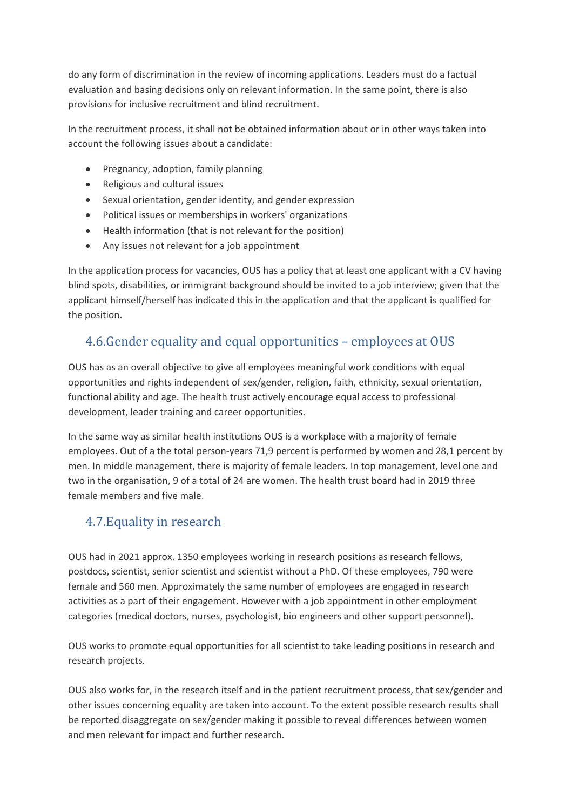do any form of discrimination in the review of incoming applications. Leaders must do a factual evaluation and basing decisions only on relevant information. In the same point, there is also provisions for inclusive recruitment and blind recruitment.

In the recruitment process, it shall not be obtained information about or in other ways taken into account the following issues about a candidate:

- Pregnancy, adoption, family planning
- Religious and cultural issues
- Sexual orientation, gender identity, and gender expression
- Political issues or memberships in workers' organizations
- Health information (that is not relevant for the position)
- Any issues not relevant for a job appointment

In the application process for vacancies, OUS has a policy that at least one applicant with a CV having blind spots, disabilities, or immigrant background should be invited to a job interview; given that the applicant himself/herself has indicated this in the application and that the applicant is qualified for the position.

### 4.6.Gender equality and equal opportunities – employees at OUS

OUS has as an overall objective to give all employees meaningful work conditions with equal opportunities and rights independent of sex/gender, religion, faith, ethnicity, sexual orientation, functional ability and age. The health trust actively encourage equal access to professional development, leader training and career opportunities.

In the same way as similar health institutions OUS is a workplace with a majority of female employees. Out of a the total person-years 71,9 percent is performed by women and 28,1 percent by men. In middle management, there is majority of female leaders. In top management, level one and two in the organisation, 9 of a total of 24 are women. The health trust board had in 2019 three female members and five male.

### 4.7.Equality in research

OUS had in 2021 approx. 1350 employees working in research positions as research fellows, postdocs, scientist, senior scientist and scientist without a PhD. Of these employees, 790 were female and 560 men. Approximately the same number of employees are engaged in research activities as a part of their engagement. However with a job appointment in other employment categories (medical doctors, nurses, psychologist, bio engineers and other support personnel).

OUS works to promote equal opportunities for all scientist to take leading positions in research and research projects.

OUS also works for, in the research itself and in the patient recruitment process, that sex/gender and other issues concerning equality are taken into account. To the extent possible research results shall be reported disaggregate on sex/gender making it possible to reveal differences between women and men relevant for impact and further research.